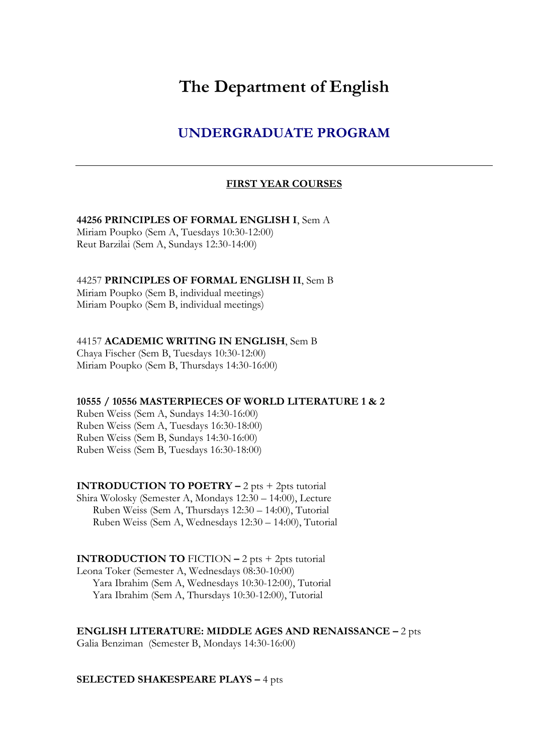# **The Department of English**

## **UNDERGRADUATE PROGRAM**

#### **FIRST YEAR COURSES**

#### **44256 PRINCIPLES OF FORMAL ENGLISH I**, Sem A

Miriam Poupko (Sem A, Tuesdays 10:30-12:00) Reut Barzilai (Sem A, Sundays 12:30-14:00)

#### 44257 **PRINCIPLES OF FORMAL ENGLISH II**, Sem B

Miriam Poupko (Sem B, individual meetings) Miriam Poupko (Sem B, individual meetings)

#### 44157 **ACADEMIC WRITING IN ENGLISH**, Sem B

Chaya Fischer (Sem B, Tuesdays 10:30-12:00) Miriam Poupko (Sem B, Thursdays 14:30-16:00)

#### **10555 / 10556 MASTERPIECES OF WORLD LITERATURE 1 & 2**

Ruben Weiss (Sem A, Sundays 14:30-16:00) Ruben Weiss (Sem A, Tuesdays 16:30-18:00) Ruben Weiss (Sem B, Sundays 14:30-16:00) Ruben Weiss (Sem B, Tuesdays 16:30-18:00)

## **INTRODUCTION TO POETRY –** 2 pts + 2pts tutorial

Shira Wolosky (Semester A, Mondays 12:30 – 14:00), Lecture Ruben Weiss (Sem A, Thursdays 12:30 – 14:00), Tutorial Ruben Weiss (Sem A, Wednesdays 12:30 – 14:00), Tutorial

#### **INTRODUCTION TO** FICTION  $-2$  pts  $+2$ pts tutorial

Leona Toker (Semester A, Wednesdays 08:30-10:00) Yara Ibrahim (Sem A, Wednesdays 10:30-12:00), Tutorial Yara Ibrahim (Sem A, Thursdays 10:30-12:00), Tutorial

**ENGLISH LITERATURE: MIDDLE AGES AND RENAISSANCE –** 2 pts Galia Benziman (Semester B, Mondays 14:30-16:00)

#### **SELECTED SHAKESPEARE PLAYS –** 4 pts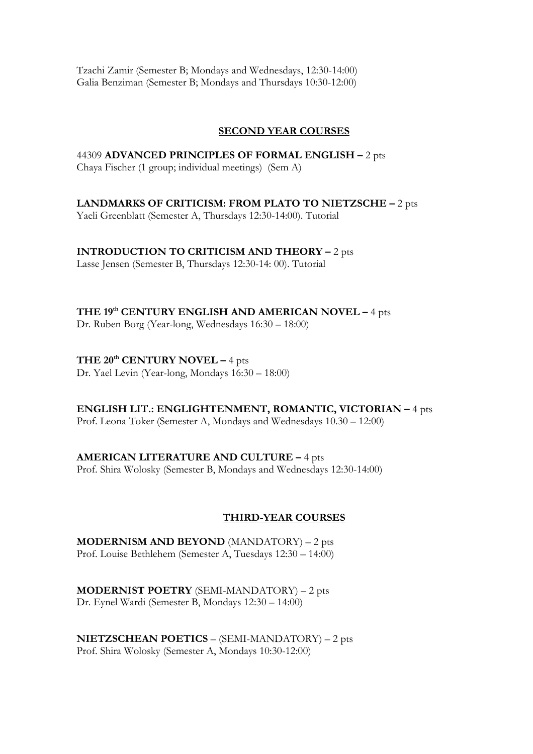Tzachi Zamir (Semester B; Mondays and Wednesdays, 12:30-14:00) Galia Benziman (Semester B; Mondays and Thursdays 10:30-12:00)

#### **SECOND YEAR COURSES**

44309 **ADVANCED PRINCIPLES OF FORMAL ENGLISH –** 2 pts Chaya Fischer (1 group; individual meetings) (Sem A)

**LANDMARKS OF CRITICISM: FROM PLATO TO NIETZSCHE –** 2 pts

Yaeli Greenblatt (Semester A, Thursdays 12:30-14:00). Tutorial

## **INTRODUCTION TO CRITICISM AND THEORY –** 2 pts

Lasse Jensen (Semester B, Thursdays 12:30-14: 00). Tutorial

## **THE 19th CENTURY ENGLISH AND AMERICAN NOVEL –** 4 pts

Dr. Ruben Borg (Year-long, Wednesdays 16:30 – 18:00)

## **THE 20th CENTURY NOVEL –** 4 pts

Dr. Yael Levin (Year-long, Mondays 16:30 – 18:00)

**ENGLISH LIT.: ENGLIGHTENMENT, ROMANTIC, VICTORIAN –** 4 pts Prof. Leona Toker (Semester A, Mondays and Wednesdays 10.30 – 12:00)

## **AMERICAN LITERATURE AND CULTURE –** 4 pts

Prof. Shira Wolosky (Semester B, Mondays and Wednesdays 12:30-14:00)

## **THIRD-YEAR COURSES**

**MODERNISM AND BEYOND** (MANDATORY) – 2 pts Prof. Louise Bethlehem (Semester A, Tuesdays 12:30 – 14:00)

**MODERNIST POETRY** (SEMI-MANDATORY) – 2 pts Dr. Eynel Wardi (Semester B, Mondays 12:30 – 14:00)

**NIETZSCHEAN POETICS** – (SEMI-MANDATORY) – 2 pts Prof. Shira Wolosky (Semester A, Mondays 10:30-12:00)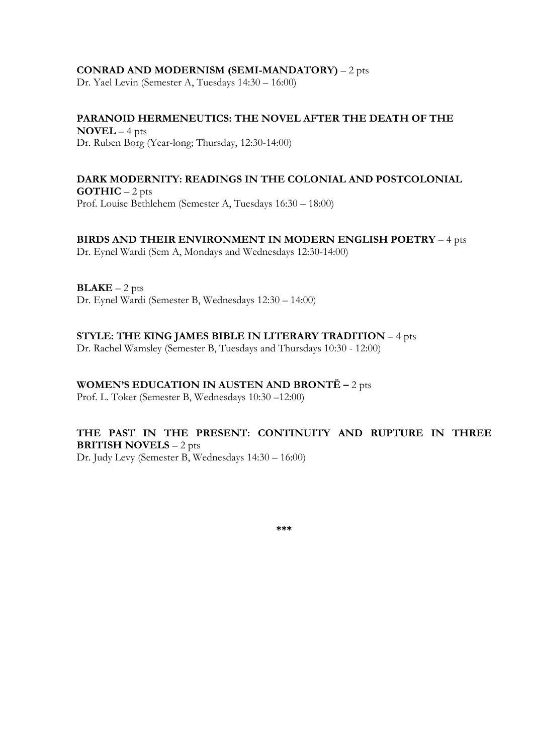#### **CONRAD AND MODERNISM (SEMI-MANDATORY)** – 2 pts

Dr. Yael Levin (Semester A, Tuesdays 14:30 – 16:00)

## **PARANOID HERMENEUTICS: THE NOVEL AFTER THE DEATH OF THE NOVEL** – 4 pts

## Dr. Ruben Borg (Year-long; Thursday, 12:30-14:00)

#### **DARK MODERNITY: READINGS IN THE COLONIAL AND POSTCOLONIAL GOTHIC** – 2 pts Prof. Louise Bethlehem (Semester A, Tuesdays 16:30 – 18:00)

## **BIRDS AND THEIR ENVIRONMENT IN MODERN ENGLISH POETRY** – 4 pts

Dr. Eynel Wardi (Sem A, Mondays and Wednesdays 12:30-14:00)

 $BLAKE - 2 pts$ Dr. Eynel Wardi (Semester B, Wednesdays 12:30 – 14:00)

#### **STYLE: THE KING JAMES BIBLE IN LITERARY TRADITION** – 4 pts

Dr. Rachel Wamsley (Semester B, Tuesdays and Thursdays 10:30 - 12:00)

#### **WOMEN'S EDUCATION IN AUSTEN AND BRONTË –** 2 pts

Prof. L. Toker (Semester B, Wednesdays 10:30 –12:00)

## **THE PAST IN THE PRESENT: CONTINUITY AND RUPTURE IN THREE BRITISH NOVELS** – 2 pts

Dr. Judy Levy (Semester B, Wednesdays 14:30 – 16:00)

**\*\*\***